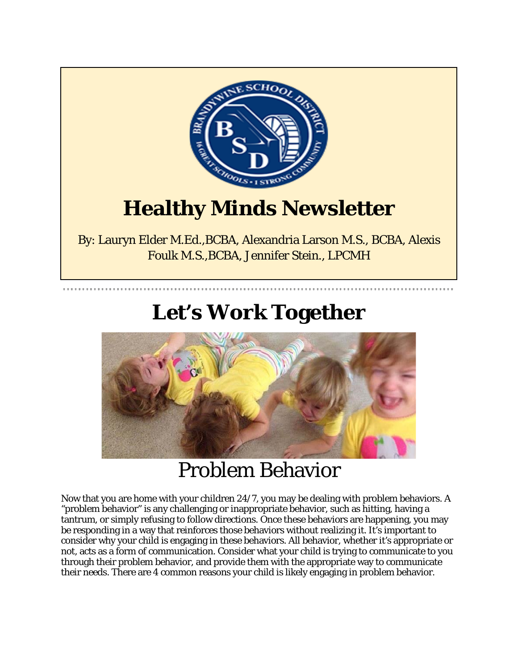

# **Healthy Minds Newsletter**

By: Lauryn Elder M.Ed.,BCBA, Alexandria Larson M.S., BCBA, Alexis Foulk M.S.,BCBA, Jennifer Stein., LPCMH

# **Let's Work Together**



### Problem Behavior

Now that you are home with your children 24/7, you may be dealing with problem behaviors. A "problem behavior" is any challenging or inappropriate behavior, such as hitting, having a tantrum, or simply refusing to follow directions. Once these behaviors are happening, you may be responding in a way that reinforces those behaviors without realizing it. It's important to consider why your child is engaging in these behaviors. All behavior, whether it's appropriate or not, acts as a form of communication. Consider what your child is trying to communicate to you through their problem behavior, and provide them with the appropriate way to communicate their needs. There are 4 common reasons your child is likely engaging in problem behavior.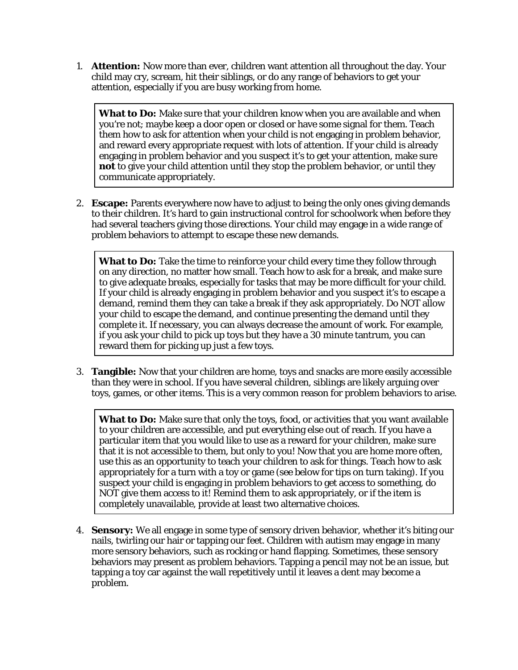1. **Attention:** Now more than ever, children want attention all throughout the day. Your child may cry, scream, hit their siblings, or do any range of behaviors to get your attention, especially if you are busy working from home.

**What to Do:** Make sure that your children know when you are available and when you're not; maybe keep a door open or closed or have some signal for them. Teach them how to ask for attention when your child is not engaging in problem behavior, and reward every appropriate request with lots of attention. If your child is already engaging in problem behavior and you suspect it's to get your attention, make sure **not** to give your child attention until they stop the problem behavior, or until they communicate appropriately.

2. **Escape:** Parents everywhere now have to adjust to being the only ones giving demands to their children. It's hard to gain instructional control for schoolwork when before they had several teachers giving those directions. Your child may engage in a wide range of problem behaviors to attempt to escape these new demands.

**What to Do:** Take the time to reinforce your child every time they follow through on any direction, no matter how small. Teach how to ask for a break, and make sure to give adequate breaks, especially for tasks that may be more difficult for your child. If your child is already engaging in problem behavior and you suspect it's to escape a demand, remind them they can take a break if they ask appropriately. Do NOT allow your child to escape the demand, and continue presenting the demand until they complete it. If necessary, you can always decrease the amount of work. For example, if you ask your child to pick up toys but they have a 30 minute tantrum, you can reward them for picking up just a few toys.

3. **Tangible:** Now that your children are home, toys and snacks are more easily accessible than they were in school. If you have several children, siblings are likely arguing over toys, games, or other items. This is a very common reason for problem behaviors to arise.

**What to Do:** Make sure that only the toys, food, or activities that you want available to your children are accessible, and put everything else out of reach. If you have a particular item that you would like to use as a reward for your children, make sure that it is not accessible to them, but only to you! Now that you are home more often, use this as an opportunity to teach your children to ask for things. Teach how to ask appropriately for a turn with a toy or game (see below for tips on turn taking). If you suspect your child is engaging in problem behaviors to get access to something, do NOT give them access to it! Remind them to ask appropriately, or if the item is completely unavailable, provide at least two alternative choices.

4. **Sensory:** We all engage in some type of sensory driven behavior, whether it's biting our nails, twirling our hair or tapping our feet. Children with autism may engage in many more sensory behaviors, such as rocking or hand flapping. Sometimes, these sensory behaviors may present as problem behaviors. Tapping a pencil may not be an issue, but tapping a toy car against the wall repetitively until it leaves a dent may become a problem.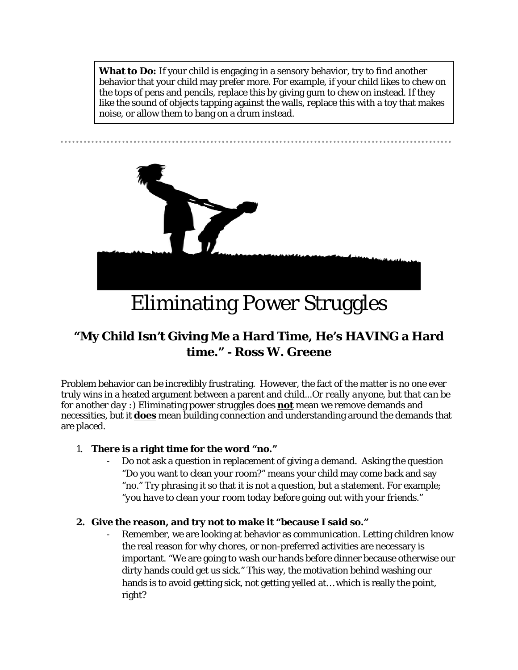**What to Do:** If your child is engaging in a sensory behavior, try to find another behavior that your child may prefer more. For example, if your child likes to chew on the tops of pens and pencils, replace this by giving gum to chew on instead. If they like the sound of objects tapping against the walls, replace this with a toy that makes noise, or allow them to bang on a drum instead.



Eliminating Power Struggles

### **"My Child Isn't Giving Me a Hard Time, He's HAVING a Hard time." - Ross W. Greene**

Problem behavior can be incredibly frustrating. However, the fact of the matter is no one ever truly wins in a heated argument between a parent and child...*Or really anyone, but that can be for another day :)* Eliminating power struggles does **not** mean we remove demands and necessities, but it **does** mean building connection and understanding around the demands that are placed.

### 1. **There is a right time for the word "no."**

- Do not ask a question in replacement of giving a demand. Asking the question "Do you want to clean your room?" means your child may come back and say "no." Try phrasing it so that it is not a question, but a statement. For example; *"you have to clean your room today before going out with your friends.*"

### **2. Give the reason, and try not to make it "because I said so."**

Remember, we are looking at behavior as communication. Letting children know the real reason for why chores, or non-preferred activities are necessary is important. "We are going to wash our hands before dinner because otherwise our dirty hands could get us sick." This way, the motivation behind washing our hands is to avoid getting sick, not getting yelled at… which is really the point, right?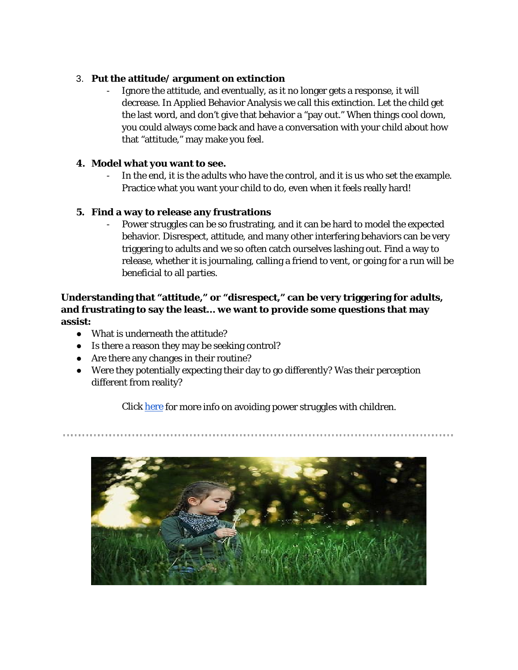#### 3. **Put the attitude/ argument on extinction**

Ignore the attitude, and eventually, as it no longer gets a response, it will decrease. In Applied Behavior Analysis we call this extinction. Let the child get the last word, and don't give that behavior a "pay out." When things cool down, you could always come back and have a conversation with your child about how that "attitude," may make you feel.

#### **4. Model what you want to see.**

In the end, it is the adults who have the control, and it is us who set the example. Practice what you want your child to do, even when it feels really hard!

#### **5. Find a way to release any frustrations**

- Power struggles can be *so* frustrating, and it can be hard to model the expected behavior. Disrespect, attitude, and many other interfering behaviors can be very triggering to adults and we so often catch ourselves lashing out. Find a way to release, whether it is journaling, calling a friend to vent, or going for a run will be beneficial to all parties.

### **Understanding that "attitude," or "disrespect," can be very triggering for adults, and frustrating to say the least… we want to provide some questions that may assist:**

- What is underneath the attitude?
- Is there a reason they may be seeking control?
- Are there any changes in their routine?
- Were they potentially expecting their day to go differently? Was their perception different from reality?

Click [here](https://www.thepathway2success.com/13-ways-to-avoid-power-struggles/) for more info on avoiding power struggles with children.

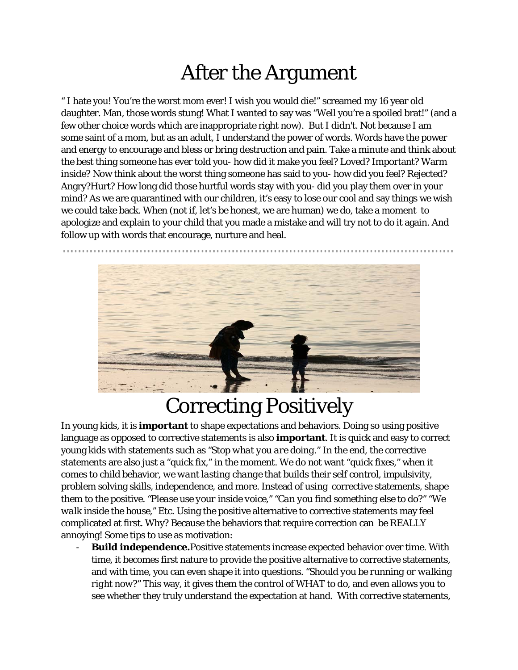# After the Argument

" I hate you! You're the worst mom ever! I wish you would die!" screamed my 16 year old daughter. Man, those words stung! What I wanted to say was "Well you're a spoiled brat!" (and a few other choice words which are inappropriate right now). But I didn't. Not because I am some saint of a mom, but as an adult, I understand the power of words. Words have the power and energy to encourage and bless or bring destruction and pain. Take a minute and think about the best thing someone has ever told you- how did it make you feel? Loved? Important? Warm inside? Now think about the worst thing someone has said to you- how did you feel? Rejected? Angry?Hurt? How long did those hurtful words stay with you- did you play them over in your mind? As we are quarantined with our children, it's easy to lose our cool and say things we wish we could take back. When (not if, let's be honest, we are human) we do, take a moment to apologize and explain to your child that you made a mistake and will try not to do it again. And follow up with words that encourage, nurture and heal.



# Correcting Positively

In young kids, it is **important** to shape expectations and behaviors. Doing so using positive language as opposed to corrective statements is also **important**. It is quick and easy to correct young kids with statements such as *"Stop what you are doing*." In the end, the corrective statements are also just a "quick fix," in the moment. We do not want "quick fixes," when it comes to child behavior, *we want lasting change* that builds their self control, impulsivity, problem solving skills, independence, and more. Instead of using corrective statements, shape them to the positive. *"Please use your inside voice," "Can you find something else to do?" "We walk inside the house,"* Etc. Using the positive alternative to corrective statements may feel complicated at first. Why? Because the behaviors that require correction can be REALLY annoying! Some tips to use as motivation:

- **Build independence.**Positive statements increase expected behavior over time. With time, it becomes first nature to provide the positive alternative to corrective statements, and with time, you can even shape it into questions. *"Should you be running or walking right now?"* This way, it gives them the control of WHAT to do, and even allows you to see whether they truly understand the expectation at hand. With corrective statements,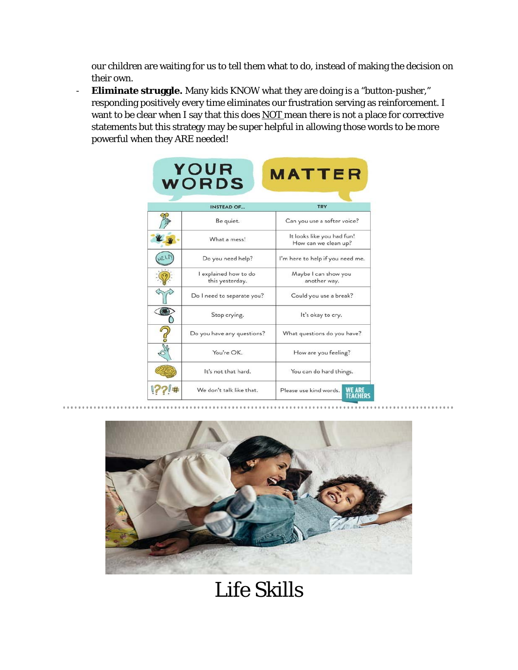our children are waiting for us to tell them what to do, instead of making the decision on their own.

- **Eliminate struggle.** Many kids KNOW what they are doing is a "button-pusher," responding positively every time eliminates our frustration serving as reinforcement. I want to be clear when I say that this does **NOT** mean there is not a place for corrective statements but this strategy may be super helpful in allowing those words to be more powerful when they ARE needed!

| YOUR<br><b>MATTER</b><br><b>WORDS</b> |                                          |                                                      |  |
|---------------------------------------|------------------------------------------|------------------------------------------------------|--|
|                                       | <b>INSTEAD OF</b>                        | <b>TRY</b>                                           |  |
|                                       | Be quiet.                                | Can you use a softer voice?                          |  |
|                                       | What a mess!                             | It looks like you had fun!<br>How can we clean up?   |  |
|                                       | Do you need help?                        | I'm here to help if you need me.                     |  |
|                                       | I explained how to do<br>this yesterday. | Maybe I can show you<br>another way.                 |  |
|                                       | Do I need to separate you?               | Could you use a break?                               |  |
|                                       | Stop crying.                             | It's okay to cry.                                    |  |
| $\int$                                | Do you have any questions?               | What questions do you have?                          |  |
|                                       | You're OK.                               | How are you feeling?                                 |  |
|                                       | It's not that hard.                      | You can do hard things.                              |  |
|                                       | We don't talk like that.                 | <b>WE ARE<br/>TEACHERS</b><br>Please use kind words. |  |



### Life Skills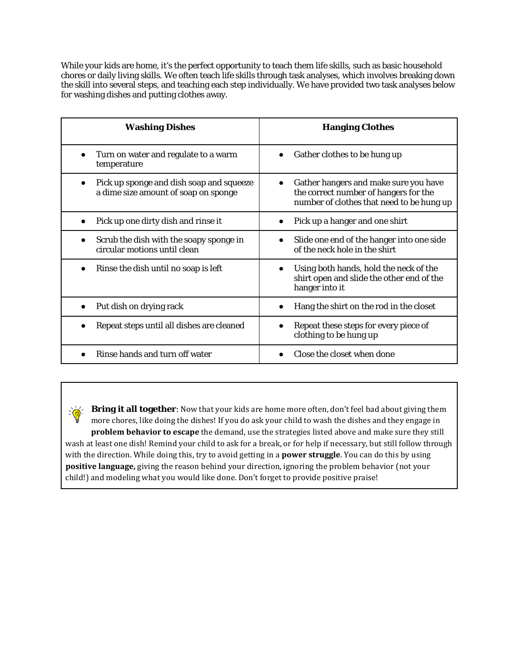While your kids are home, it's the perfect opportunity to teach them life skills, such as basic household chores or daily living skills. We often teach life skills through task analyses, which involves breaking down the skill into several steps, and teaching each step individually. We have provided two task analyses below for washing dishes and putting clothes away.

| <b>Washing Dishes</b>                                                                | <b>Hanging Clothes</b>                                                                                                                   |
|--------------------------------------------------------------------------------------|------------------------------------------------------------------------------------------------------------------------------------------|
| Turn on water and regulate to a warm<br>temperature                                  | Gather clothes to be hung up<br>$\bullet$                                                                                                |
| Pick up sponge and dish soap and squeeze<br>a dime size amount of soap on sponge     | Gather hangers and make sure you have<br>$\bullet$<br>the correct number of hangers for the<br>number of clothes that need to be hung up |
| Pick up one dirty dish and rinse it                                                  | Pick up a hanger and one shirt<br>$\bullet$                                                                                              |
| Scrub the dish with the soapy sponge in<br>$\bullet$<br>circular motions until clean | Slide one end of the hanger into one side<br>$\bullet$<br>of the neck hole in the shirt                                                  |
| Rinse the dish until no soap is left                                                 | Using both hands, hold the neck of the<br>$\bullet$<br>shirt open and slide the other end of the<br>hanger into it                       |
| Put dish on drying rack                                                              | Hang the shirt on the rod in the closet                                                                                                  |
| Repeat steps until all dishes are cleaned                                            | Repeat these steps for every piece of<br>clothing to be hung up                                                                          |
| Rinse hands and turn off water                                                       | Close the closet when done                                                                                                               |

**Bring it all together**: Now that your kids are home more often, don't feel bad about giving them  $\geq \frac{1}{\sqrt{2}}$ more chores, like doing the dishes! If you do ask your child to wash the dishes and they engage in **problem behavior to escape** the demand, use the strategies listed above and make sure they still wash at least one dish! Remind your child to ask for a break, or for help if necessary, but still follow through with the direction. While doing this, try to avoid getting in a **power struggle**. You can do this by using **positive language,** giving the reason behind your direction, ignoring the problem behavior (not your child!) and modeling what you would like done. Don't forget to provide positive praise!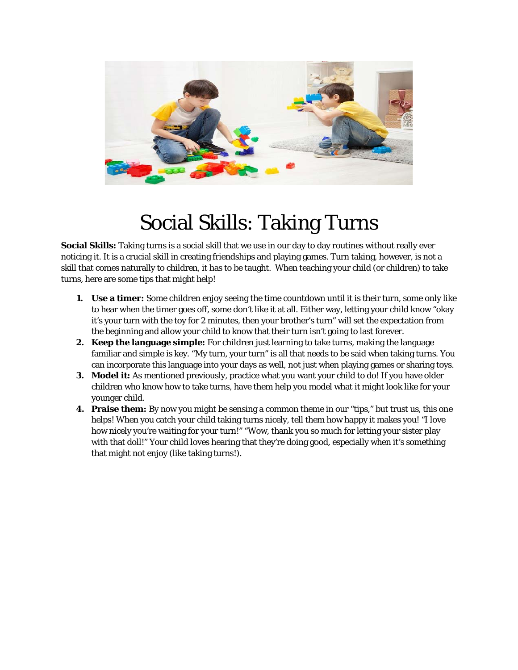

### Social Skills: Taking Turns

**Social Skills:** Taking turns is a social skill that we use in our day to day routines without really ever noticing it. It is a crucial skill in creating friendships and playing games. Turn taking, however, is not a skill that comes naturally to children, it has to be taught. When teaching your child (or children) to take turns, here are some tips that might help!

- **1. Use a timer:** Some children enjoy seeing the time countdown until it is their turn, some only like to hear when the timer goes off, some don't like it at all. Either way, letting your child know "okay it's your turn with the toy for 2 minutes, then your brother's turn" will set the expectation from the beginning and allow your child to know that their turn isn't going to last forever.
- **2. Keep the language simple:** For children just learning to take turns, making the language familiar and simple is key. "My turn, your turn" is all that needs to be said when taking turns. You can incorporate this language into your days as well, not just when playing games or sharing toys.
- **3. Model it:** As mentioned previously, practice what you want your child to do! If you have older children who know how to take turns, have them help you model what it might look like for your younger child.
- **4. Praise them:** By now you might be sensing a common theme in our "tips," but trust us, this one helps! When you catch your child taking turns nicely, tell them how happy it makes you! "I love how nicely you're waiting for your turn!" "Wow, thank you so much for letting your sister play with that doll!" Your child loves hearing that they're doing good, especially when it's something that might not enjoy (like taking turns!).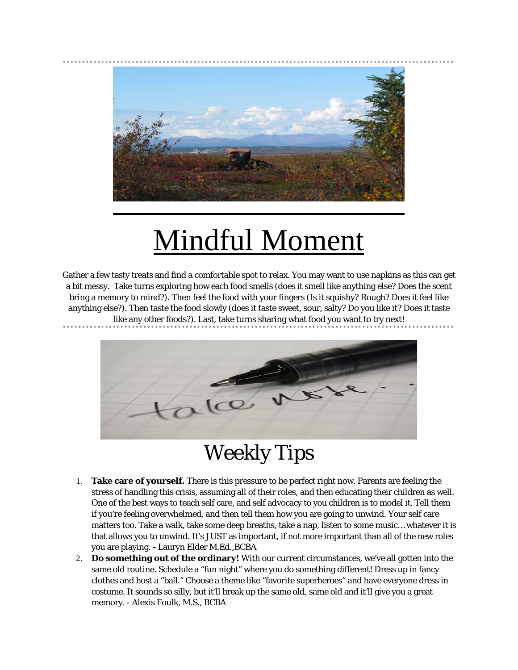

# Mindful Moment

Gather a few tasty treats and find a comfortable spot to relax. You may want to use napkins as this can get a bit messy. Take turns exploring how each food smells (does it smell like anything else? Does the scent bring a memory to mind?). Then feel the food with your fingers (Is it squishy? Rough? Does it feel like anything else?). Then taste the food slowly (does it taste sweet, sour, salty? Do you like it? Does it taste like any other foods?). Last, take turns sharing what food you want to try next!



### Weekly Tips

- 1. **Take care of yourself.** There is this pressure to be perfect right now. Parents are feeling the stress of handling this crisis, assuming all of their roles, and then educating their children as well. One of the best ways to teach self care, and self advocacy to you children is to model it. Tell them if you're feeling overwhelmed, and then tell them how you are going to unwind. Your self care matters too. Take a walk, take some deep breaths, take a nap, listen to some music… whatever it is that allows you to unwind. It's JUST as important, if not more important than all of the new roles you are playing. **-** Lauryn Elder M.Ed.,BCBA
- 2. **Do something out of the ordinary!** With our current circumstances, we've all gotten into the same old routine. Schedule a "fun night" where you do something different! Dress up in fancy clothes and host a "ball." Choose a theme like "favorite superheroes" and have everyone dress in costume. It sounds so silly, but it'll break up the same old, same old and it'll give you a great memory. - Alexis Foulk, M.S., BCBA